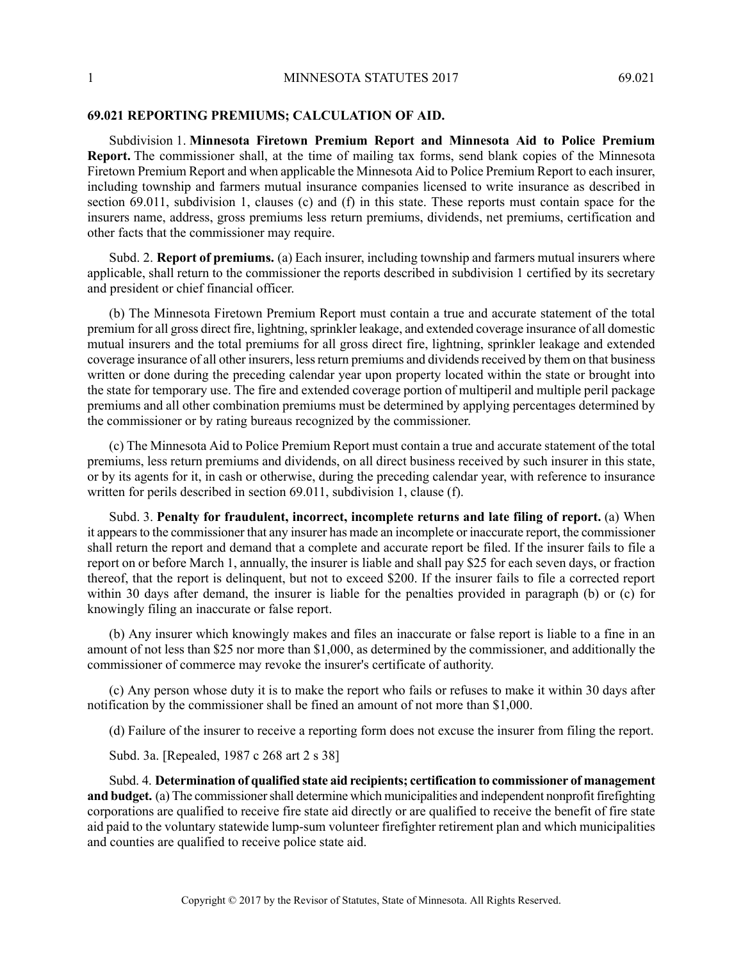## **69.021 REPORTING PREMIUMS; CALCULATION OF AID.**

Subdivision 1. **Minnesota Firetown Premium Report and Minnesota Aid to Police Premium Report.** The commissioner shall, at the time of mailing tax forms, send blank copies of the Minnesota Firetown Premium Report and when applicable the Minnesota Aid to Police Premium Report to each insurer, including township and farmers mutual insurance companies licensed to write insurance as described in section 69.011, subdivision 1, clauses (c) and (f) in this state. These reports must contain space for the insurers name, address, gross premiums less return premiums, dividends, net premiums, certification and other facts that the commissioner may require.

Subd. 2. **Report of premiums.** (a) Each insurer, including township and farmers mutual insurers where applicable, shall return to the commissioner the reports described in subdivision 1 certified by its secretary and president or chief financial officer.

(b) The Minnesota Firetown Premium Report must contain a true and accurate statement of the total premium for all gross direct fire, lightning, sprinkler leakage, and extended coverage insurance of all domestic mutual insurers and the total premiums for all gross direct fire, lightning, sprinkler leakage and extended coverage insurance of all other insurers, less return premiums and dividends received by them on that business written or done during the preceding calendar year upon property located within the state or brought into the state for temporary use. The fire and extended coverage portion of multiperil and multiple peril package premiums and all other combination premiums must be determined by applying percentages determined by the commissioner or by rating bureaus recognized by the commissioner.

(c) The Minnesota Aid to Police Premium Report must contain a true and accurate statement of the total premiums, less return premiums and dividends, on all direct business received by such insurer in this state, or by its agents for it, in cash or otherwise, during the preceding calendar year, with reference to insurance written for perils described in section 69.011, subdivision 1, clause (f).

Subd. 3. **Penalty for fraudulent, incorrect, incomplete returns and late filing of report.** (a) When it appears to the commissioner that any insurer has made an incomplete or inaccurate report, the commissioner shall return the report and demand that a complete and accurate report be filed. If the insurer fails to file a report on or before March 1, annually, the insurer is liable and shall pay \$25 for each seven days, or fraction thereof, that the report is delinquent, but not to exceed \$200. If the insurer fails to file a corrected report within 30 days after demand, the insurer is liable for the penalties provided in paragraph (b) or (c) for knowingly filing an inaccurate or false report.

(b) Any insurer which knowingly makes and files an inaccurate or false report is liable to a fine in an amount of not less than \$25 nor more than \$1,000, as determined by the commissioner, and additionally the commissioner of commerce may revoke the insurer's certificate of authority.

(c) Any person whose duty it is to make the report who fails or refuses to make it within 30 days after notification by the commissioner shall be fined an amount of not more than \$1,000.

(d) Failure of the insurer to receive a reporting form does not excuse the insurer from filing the report.

Subd. 3a. [Repealed, 1987 c 268 art 2 s 38]

Subd. 4. **Determination of qualified state aid recipients; certification to commissioner of management and budget.** (a) The commissioner shall determine which municipalities and independent nonprofit firefighting corporations are qualified to receive fire state aid directly or are qualified to receive the benefit of fire state aid paid to the voluntary statewide lump-sum volunteer firefighter retirement plan and which municipalities and counties are qualified to receive police state aid.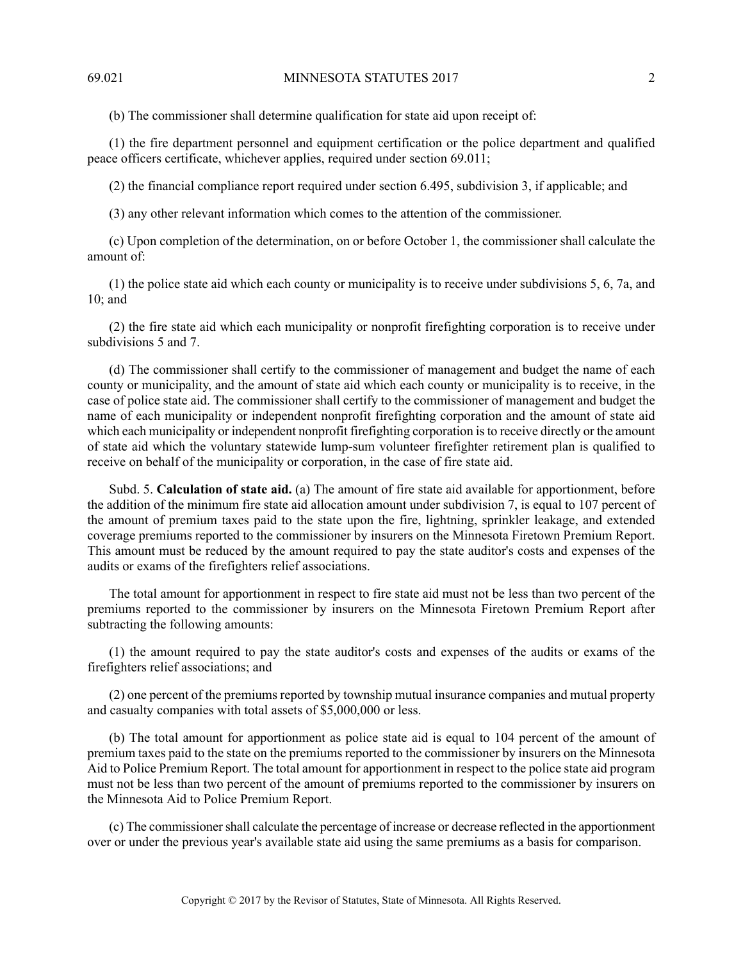(b) The commissioner shall determine qualification for state aid upon receipt of:

(1) the fire department personnel and equipment certification or the police department and qualified peace officers certificate, whichever applies, required under section 69.011;

(2) the financial compliance report required under section 6.495, subdivision 3, if applicable; and

(3) any other relevant information which comes to the attention of the commissioner.

(c) Upon completion of the determination, on or before October 1, the commissioner shall calculate the amount of:

(1) the police state aid which each county or municipality is to receive under subdivisions 5, 6, 7a, and 10; and

(2) the fire state aid which each municipality or nonprofit firefighting corporation is to receive under subdivisions 5 and 7.

(d) The commissioner shall certify to the commissioner of management and budget the name of each county or municipality, and the amount of state aid which each county or municipality is to receive, in the case of police state aid. The commissioner shall certify to the commissioner of management and budget the name of each municipality or independent nonprofit firefighting corporation and the amount of state aid which each municipality or independent nonprofit firefighting corporation isto receive directly or the amount of state aid which the voluntary statewide lump-sum volunteer firefighter retirement plan is qualified to receive on behalf of the municipality or corporation, in the case of fire state aid.

Subd. 5. **Calculation of state aid.** (a) The amount of fire state aid available for apportionment, before the addition of the minimum fire state aid allocation amount under subdivision 7, is equal to 107 percent of the amount of premium taxes paid to the state upon the fire, lightning, sprinkler leakage, and extended coverage premiums reported to the commissioner by insurers on the Minnesota Firetown Premium Report. This amount must be reduced by the amount required to pay the state auditor's costs and expenses of the audits or exams of the firefighters relief associations.

The total amount for apportionment in respect to fire state aid must not be less than two percent of the premiums reported to the commissioner by insurers on the Minnesota Firetown Premium Report after subtracting the following amounts:

(1) the amount required to pay the state auditor's costs and expenses of the audits or exams of the firefighters relief associations; and

(2) one percent of the premiums reported by township mutual insurance companies and mutual property and casualty companies with total assets of \$5,000,000 or less.

(b) The total amount for apportionment as police state aid is equal to 104 percent of the amount of premium taxes paid to the state on the premiums reported to the commissioner by insurers on the Minnesota Aid to Police Premium Report. The total amount for apportionment in respect to the police state aid program must not be less than two percent of the amount of premiums reported to the commissioner by insurers on the Minnesota Aid to Police Premium Report.

(c) The commissionershall calculate the percentage of increase or decrease reflected in the apportionment over or under the previous year's available state aid using the same premiums as a basis for comparison.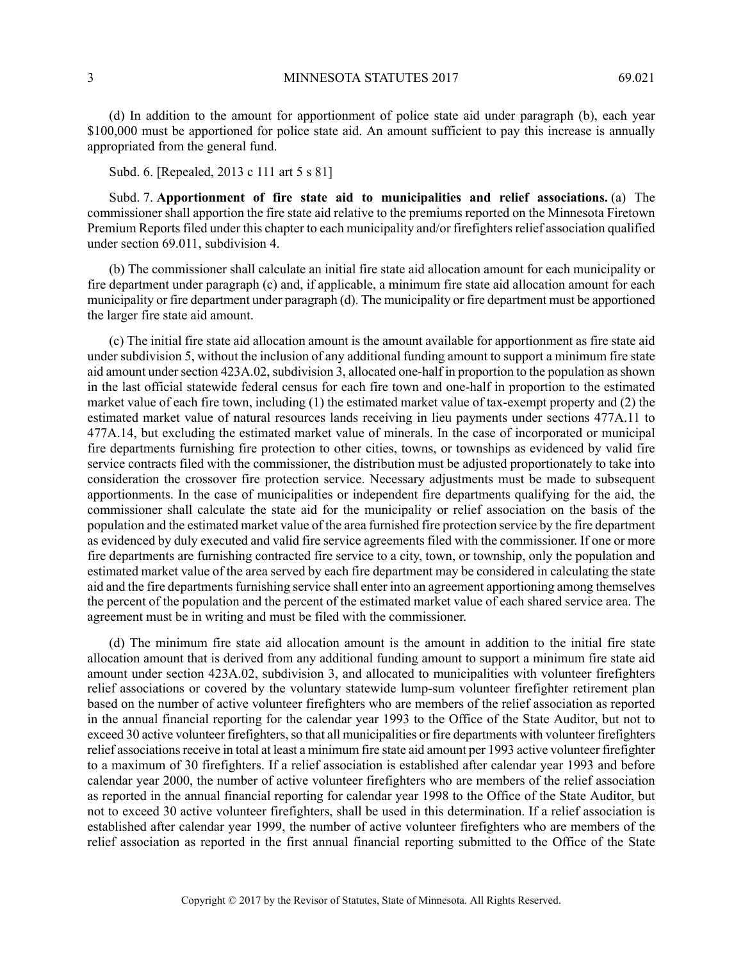(d) In addition to the amount for apportionment of police state aid under paragraph (b), each year \$100,000 must be apportioned for police state aid. An amount sufficient to pay this increase is annually appropriated from the general fund.

## Subd. 6. [Repealed, 2013 c 111 art 5 s 81]

Subd. 7. **Apportionment of fire state aid to municipalities and relief associations.** (a) The commissioner shall apportion the fire state aid relative to the premiums reported on the Minnesota Firetown Premium Reports filed under this chapter to each municipality and/or firefighters relief association qualified under section 69.011, subdivision 4.

(b) The commissioner shall calculate an initial fire state aid allocation amount for each municipality or fire department under paragraph (c) and, if applicable, a minimum fire state aid allocation amount for each municipality or fire department under paragraph (d). The municipality or fire department must be apportioned the larger fire state aid amount.

(c) The initial fire state aid allocation amount is the amount available for apportionment as fire state aid under subdivision 5, without the inclusion of any additional funding amount to support a minimum fire state aid amount under section 423A.02, subdivision 3, allocated one-half in proportion to the population as shown in the last official statewide federal census for each fire town and one-half in proportion to the estimated market value of each fire town, including (1) the estimated market value of tax-exempt property and (2) the estimated market value of natural resources lands receiving in lieu payments under sections 477A.11 to 477A.14, but excluding the estimated market value of minerals. In the case of incorporated or municipal fire departments furnishing fire protection to other cities, towns, or townships as evidenced by valid fire service contracts filed with the commissioner, the distribution must be adjusted proportionately to take into consideration the crossover fire protection service. Necessary adjustments must be made to subsequent apportionments. In the case of municipalities or independent fire departments qualifying for the aid, the commissioner shall calculate the state aid for the municipality or relief association on the basis of the population and the estimated market value of the area furnished fire protection service by the fire department as evidenced by duly executed and valid fire service agreements filed with the commissioner. If one or more fire departments are furnishing contracted fire service to a city, town, or township, only the population and estimated market value of the area served by each fire department may be considered in calculating the state aid and the fire departments furnishing service shall enter into an agreement apportioning among themselves the percent of the population and the percent of the estimated market value of each shared service area. The agreement must be in writing and must be filed with the commissioner.

(d) The minimum fire state aid allocation amount is the amount in addition to the initial fire state allocation amount that is derived from any additional funding amount to support a minimum fire state aid amount under section 423A.02, subdivision 3, and allocated to municipalities with volunteer firefighters relief associations or covered by the voluntary statewide lump-sum volunteer firefighter retirement plan based on the number of active volunteer firefighters who are members of the relief association as reported in the annual financial reporting for the calendar year 1993 to the Office of the State Auditor, but not to exceed 30 active volunteer firefighters, so that all municipalities or fire departments with volunteer firefighters relief associations receive in total at least a minimum fire state aid amount per 1993 active volunteer firefighter to a maximum of 30 firefighters. If a relief association is established after calendar year 1993 and before calendar year 2000, the number of active volunteer firefighters who are members of the relief association as reported in the annual financial reporting for calendar year 1998 to the Office of the State Auditor, but not to exceed 30 active volunteer firefighters, shall be used in this determination. If a relief association is established after calendar year 1999, the number of active volunteer firefighters who are members of the relief association as reported in the first annual financial reporting submitted to the Office of the State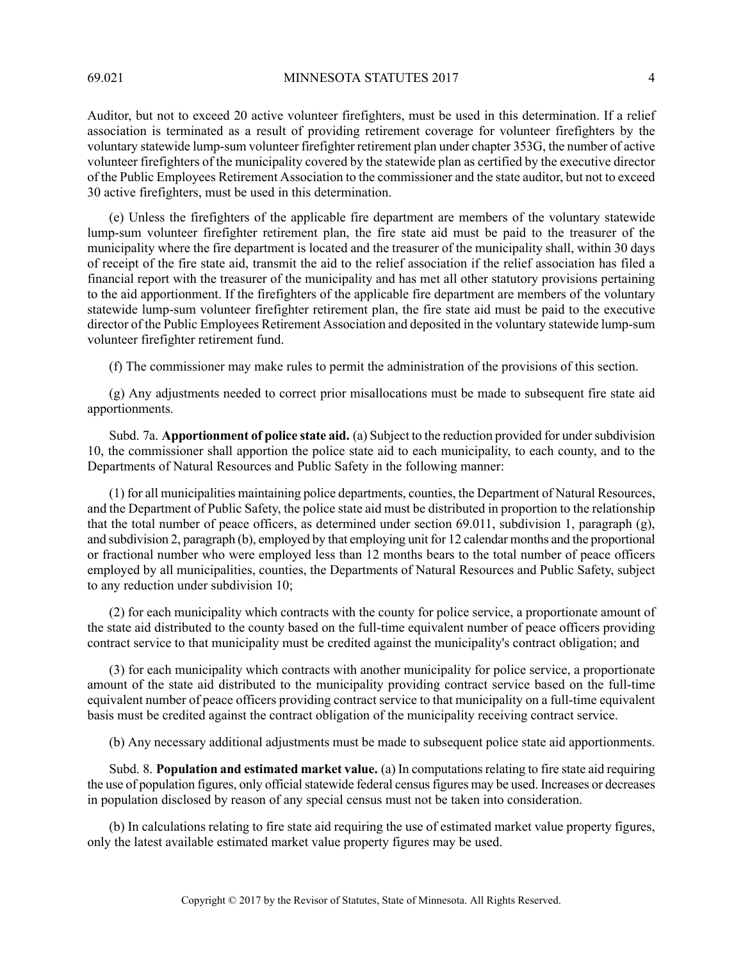69.021 MINNESOTA STATUTES 2017 4

Auditor, but not to exceed 20 active volunteer firefighters, must be used in this determination. If a relief association is terminated as a result of providing retirement coverage for volunteer firefighters by the voluntary statewide lump-sum volunteer firefighter retirement plan under chapter 353G, the number of active volunteer firefighters of the municipality covered by the statewide plan as certified by the executive director of the Public Employees Retirement Association to the commissioner and the state auditor, but not to exceed 30 active firefighters, must be used in this determination.

(e) Unless the firefighters of the applicable fire department are members of the voluntary statewide lump-sum volunteer firefighter retirement plan, the fire state aid must be paid to the treasurer of the municipality where the fire department is located and the treasurer of the municipality shall, within 30 days of receipt of the fire state aid, transmit the aid to the relief association if the relief association has filed a financial report with the treasurer of the municipality and has met all other statutory provisions pertaining to the aid apportionment. If the firefighters of the applicable fire department are members of the voluntary statewide lump-sum volunteer firefighter retirement plan, the fire state aid must be paid to the executive director of the Public Employees Retirement Association and deposited in the voluntary statewide lump-sum volunteer firefighter retirement fund.

(f) The commissioner may make rules to permit the administration of the provisions of this section.

(g) Any adjustments needed to correct prior misallocations must be made to subsequent fire state aid apportionments.

Subd. 7a. **Apportionment of police state aid.** (a) Subject to the reduction provided for undersubdivision 10, the commissioner shall apportion the police state aid to each municipality, to each county, and to the Departments of Natural Resources and Public Safety in the following manner:

(1) for all municipalities maintaining police departments, counties, the Department of Natural Resources, and the Department of Public Safety, the police state aid must be distributed in proportion to the relationship that the total number of peace officers, as determined under section 69.011, subdivision 1, paragraph (g), and subdivision 2, paragraph (b), employed by that employing unit for 12 calendar months and the proportional or fractional number who were employed less than 12 months bears to the total number of peace officers employed by all municipalities, counties, the Departments of Natural Resources and Public Safety, subject to any reduction under subdivision 10;

(2) for each municipality which contracts with the county for police service, a proportionate amount of the state aid distributed to the county based on the full-time equivalent number of peace officers providing contract service to that municipality must be credited against the municipality's contract obligation; and

(3) for each municipality which contracts with another municipality for police service, a proportionate amount of the state aid distributed to the municipality providing contract service based on the full-time equivalent number of peace officers providing contract service to that municipality on a full-time equivalent basis must be credited against the contract obligation of the municipality receiving contract service.

(b) Any necessary additional adjustments must be made to subsequent police state aid apportionments.

Subd. 8. **Population and estimated market value.** (a) In computationsrelating to fire state aid requiring the use of population figures, only official statewide federal census figures may be used. Increases or decreases in population disclosed by reason of any special census must not be taken into consideration.

(b) In calculations relating to fire state aid requiring the use of estimated market value property figures, only the latest available estimated market value property figures may be used.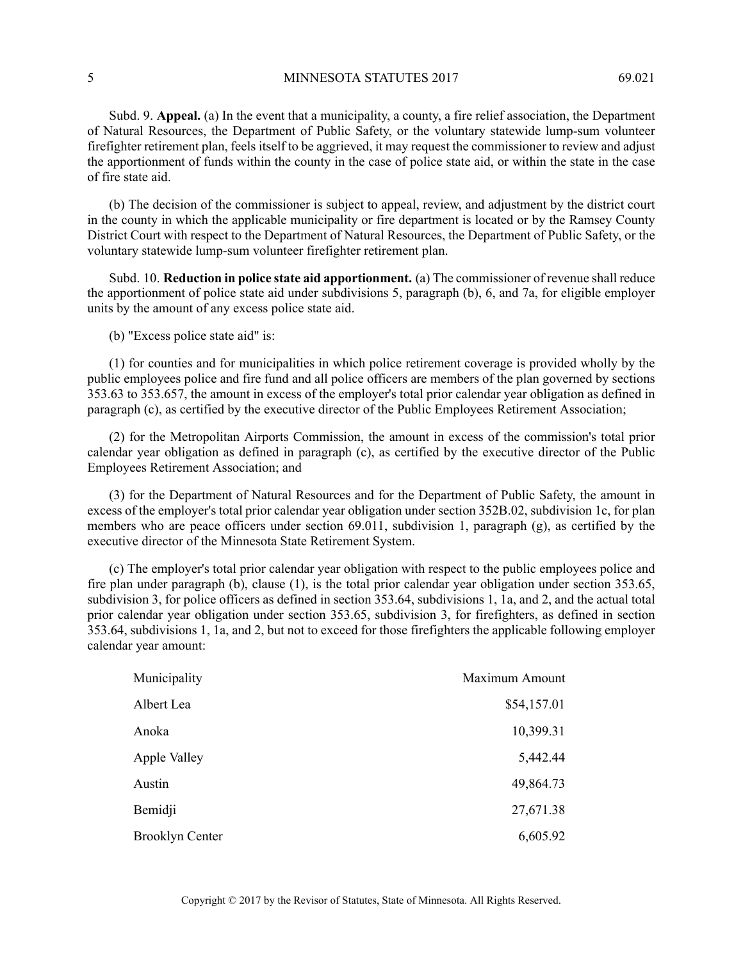5 MINNESOTA STATUTES 2017 69.021

Subd. 9. **Appeal.** (a) In the event that a municipality, a county, a fire relief association, the Department of Natural Resources, the Department of Public Safety, or the voluntary statewide lump-sum volunteer firefighter retirement plan, feels itself to be aggrieved, it may request the commissioner to review and adjust the apportionment of funds within the county in the case of police state aid, or within the state in the case of fire state aid.

(b) The decision of the commissioner is subject to appeal, review, and adjustment by the district court in the county in which the applicable municipality or fire department is located or by the Ramsey County District Court with respect to the Department of Natural Resources, the Department of Public Safety, or the voluntary statewide lump-sum volunteer firefighter retirement plan.

Subd. 10. **Reduction in police state aid apportionment.** (a) The commissioner of revenue shall reduce the apportionment of police state aid under subdivisions 5, paragraph (b), 6, and 7a, for eligible employer units by the amount of any excess police state aid.

(b) "Excess police state aid" is:

(1) for counties and for municipalities in which police retirement coverage is provided wholly by the public employees police and fire fund and all police officers are members of the plan governed by sections 353.63 to 353.657, the amount in excess of the employer's total prior calendar year obligation as defined in paragraph (c), as certified by the executive director of the Public Employees Retirement Association;

(2) for the Metropolitan Airports Commission, the amount in excess of the commission's total prior calendar year obligation as defined in paragraph (c), as certified by the executive director of the Public Employees Retirement Association; and

(3) for the Department of Natural Resources and for the Department of Public Safety, the amount in excess of the employer's total prior calendar year obligation under section 352B.02, subdivision 1c, for plan members who are peace officers under section 69.011, subdivision 1, paragraph (g), as certified by the executive director of the Minnesota State Retirement System.

(c) The employer's total prior calendar year obligation with respect to the public employees police and fire plan under paragraph (b), clause (1), is the total prior calendar year obligation under section 353.65, subdivision 3, for police officers as defined in section 353.64, subdivisions 1, 1a, and 2, and the actual total prior calendar year obligation under section 353.65, subdivision 3, for firefighters, as defined in section 353.64, subdivisions 1, 1a, and 2, but not to exceed for those firefighters the applicable following employer calendar year amount:

| Municipality           | Maximum Amount |
|------------------------|----------------|
| Albert Lea             | \$54,157.01    |
| Anoka                  | 10,399.31      |
| Apple Valley           | 5,442.44       |
| Austin                 | 49,864.73      |
| Bemidji                | 27,671.38      |
| <b>Brooklyn Center</b> | 6,605.92       |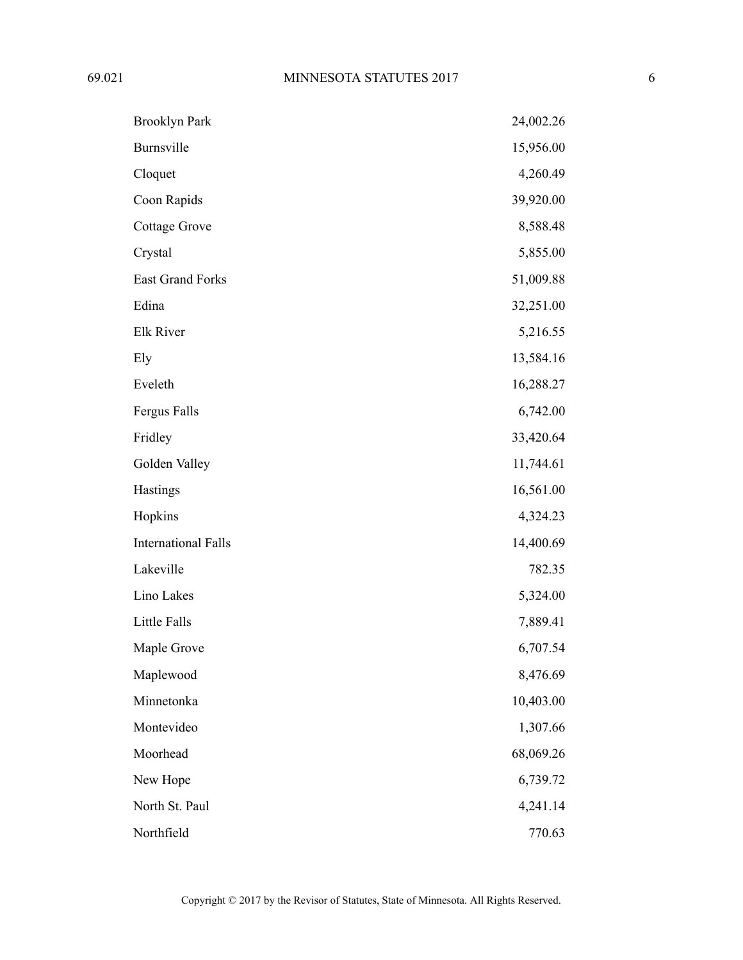| <b>Brooklyn Park</b>       | 24,002.26 |
|----------------------------|-----------|
| Burnsville                 | 15,956.00 |
| Cloquet                    | 4,260.49  |
| Coon Rapids                | 39,920.00 |
| <b>Cottage Grove</b>       | 8,588.48  |
| Crystal                    | 5,855.00  |
| East Grand Forks           | 51,009.88 |
| Edina                      | 32,251.00 |
| Elk River                  | 5,216.55  |
| Ely                        | 13,584.16 |
| Eveleth                    | 16,288.27 |
| Fergus Falls               | 6,742.00  |
| Fridley                    | 33,420.64 |
| Golden Valley              | 11,744.61 |
| Hastings                   | 16,561.00 |
| Hopkins                    | 4,324.23  |
| <b>International Falls</b> | 14,400.69 |
| Lakeville                  | 782.35    |
| Lino Lakes                 | 5,324.00  |
| Little Falls               | 7,889.41  |
| Maple Grove                | 6,707.54  |
| Maplewood                  | 8,476.69  |
| Minnetonka                 | 10,403.00 |
| Montevideo                 | 1,307.66  |
| Moorhead                   | 68,069.26 |
| New Hope                   | 6,739.72  |
| North St. Paul             | 4,241.14  |
| Northfield                 | 770.63    |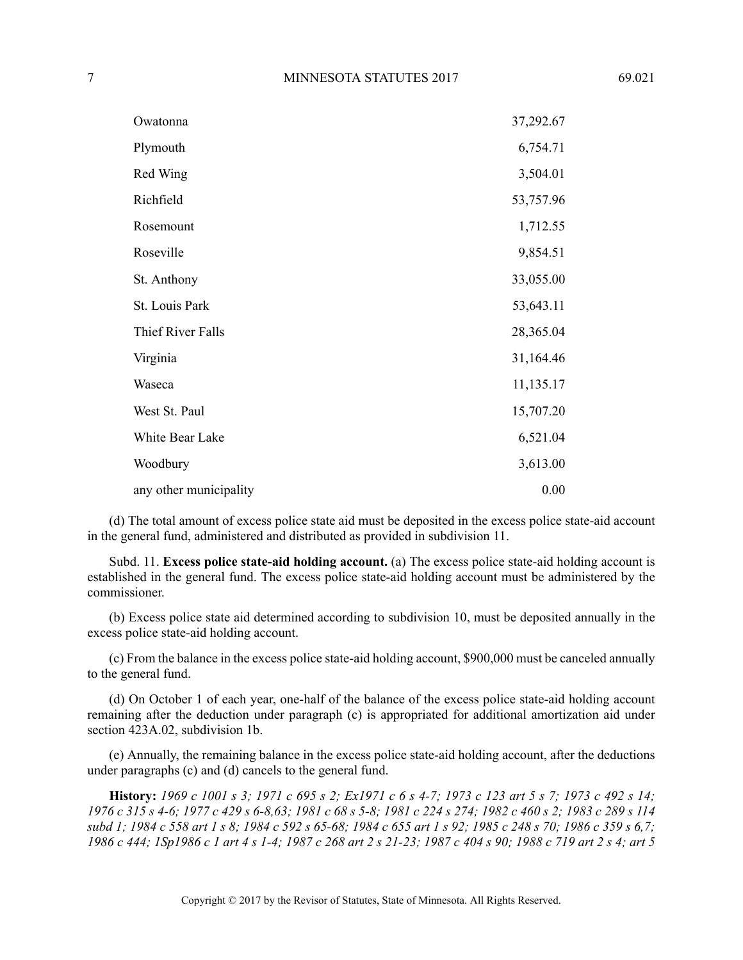| Owatonna               | 37,292.67 |
|------------------------|-----------|
| Plymouth               | 6,754.71  |
| Red Wing               | 3,504.01  |
| Richfield              | 53,757.96 |
| Rosemount              | 1,712.55  |
| Roseville              | 9,854.51  |
| St. Anthony            | 33,055.00 |
| St. Louis Park         | 53,643.11 |
| Thief River Falls      | 28,365.04 |
| Virginia               | 31,164.46 |
| Waseca                 | 11,135.17 |
| West St. Paul          | 15,707.20 |
| White Bear Lake        | 6,521.04  |
| Woodbury               | 3,613.00  |
| any other municipality | 0.00      |

(d) The total amount of excess police state aid must be deposited in the excess police state-aid account in the general fund, administered and distributed as provided in subdivision 11.

Subd. 11. **Excess police state-aid holding account.** (a) The excess police state-aid holding account is established in the general fund. The excess police state-aid holding account must be administered by the commissioner.

(b) Excess police state aid determined according to subdivision 10, must be deposited annually in the excess police state-aid holding account.

(c) From the balance in the excess police state-aid holding account, \$900,000 must be canceled annually to the general fund.

(d) On October 1 of each year, one-half of the balance of the excess police state-aid holding account remaining after the deduction under paragraph (c) is appropriated for additional amortization aid under section 423A.02, subdivision 1b.

(e) Annually, the remaining balance in the excess police state-aid holding account, after the deductions under paragraphs (c) and (d) cancels to the general fund.

History: 1969 c 1001 s 3: 1971 c 695 s 2: Ex1971 c 6 s 4-7: 1973 c 123 art 5 s 7: 1973 c 492 s 14: 1976 c 315 s 4-6; 1977 c 429 s 6-8,63; 1981 c 68 s 5-8; 1981 c 224 s 274; 1982 c 460 s 2; 1983 c 289 s 114 subd 1; 1984 c 558 art 1 s 8; 1984 c 592 s 65-68; 1984 c 655 art 1 s 92; 1985 c 248 s 70; 1986 c 359 s 6,7; 1986 c 444; 1Sp1986 c 1 art 4 s 1-4; 1987 c 268 art 2 s 21-23; 1987 c 404 s 90; 1988 c 719 art 2 s 4; art 5